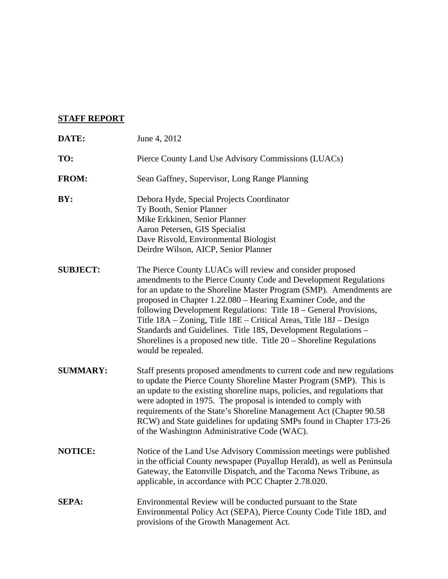# **STAFF REPORT**

| DATE:           | June 4, 2012                                                                                                                                                                                                                                                                                                                                                                                                                                                                                                                                                                       |
|-----------------|------------------------------------------------------------------------------------------------------------------------------------------------------------------------------------------------------------------------------------------------------------------------------------------------------------------------------------------------------------------------------------------------------------------------------------------------------------------------------------------------------------------------------------------------------------------------------------|
| TO:             | Pierce County Land Use Advisory Commissions (LUACs)                                                                                                                                                                                                                                                                                                                                                                                                                                                                                                                                |
| <b>FROM:</b>    | Sean Gaffney, Supervisor, Long Range Planning                                                                                                                                                                                                                                                                                                                                                                                                                                                                                                                                      |
| BY:             | Debora Hyde, Special Projects Coordinator<br>Ty Booth, Senior Planner<br>Mike Erkkinen, Senior Planner<br>Aaron Petersen, GIS Specialist<br>Dave Risvold, Environmental Biologist<br>Deirdre Wilson, AICP, Senior Planner                                                                                                                                                                                                                                                                                                                                                          |
| <b>SUBJECT:</b> | The Pierce County LUACs will review and consider proposed<br>amendments to the Pierce County Code and Development Regulations<br>for an update to the Shoreline Master Program (SMP). Amendments are<br>proposed in Chapter 1.22.080 - Hearing Examiner Code, and the<br>following Development Regulations: Title 18 – General Provisions,<br>Title 18A - Zoning, Title 18E - Critical Areas, Title 18J - Design<br>Standards and Guidelines. Title 18S, Development Regulations -<br>Shorelines is a proposed new title. Title $20$ – Shoreline Regulations<br>would be repealed. |
| <b>SUMMARY:</b> | Staff presents proposed amendments to current code and new regulations<br>to update the Pierce County Shoreline Master Program (SMP). This is<br>an update to the existing shoreline maps, policies, and regulations that<br>were adopted in 1975. The proposal is intended to comply with<br>requirements of the State's Shoreline Management Act (Chapter 90.58<br>RCW) and State guidelines for updating SMPs found in Chapter 173-26<br>of the Washington Administrative Code (WAC).                                                                                           |
| <b>NOTICE:</b>  | Notice of the Land Use Advisory Commission meetings were published<br>in the official County newspaper (Puyallup Herald), as well as Peninsula<br>Gateway, the Eatonville Dispatch, and the Tacoma News Tribune, as<br>applicable, in accordance with PCC Chapter 2.78.020.                                                                                                                                                                                                                                                                                                        |
| <b>SEPA:</b>    | Environmental Review will be conducted pursuant to the State<br>Environmental Policy Act (SEPA), Pierce County Code Title 18D, and<br>provisions of the Growth Management Act.                                                                                                                                                                                                                                                                                                                                                                                                     |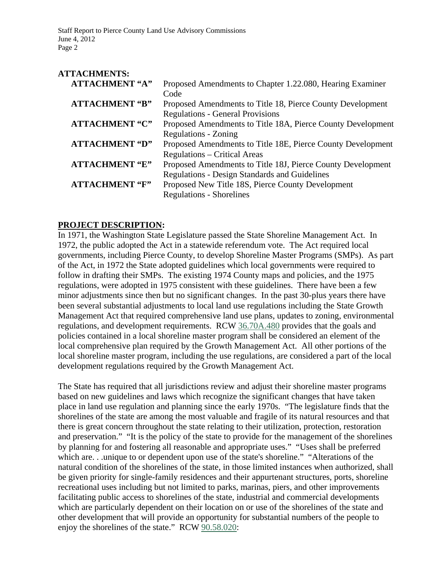| <b>ATTACHMENTS:</b>   |                                                             |
|-----------------------|-------------------------------------------------------------|
| <b>ATTACHMENT "A"</b> | Proposed Amendments to Chapter 1.22.080, Hearing Examiner   |
|                       | Code                                                        |
| <b>ATTACHMENT "B"</b> | Proposed Amendments to Title 18, Pierce County Development  |
|                       | <b>Regulations - General Provisions</b>                     |
| <b>ATTACHMENT "C"</b> | Proposed Amendments to Title 18A, Pierce County Development |
|                       | <b>Regulations - Zoning</b>                                 |
| <b>ATTACHMENT "D"</b> | Proposed Amendments to Title 18E, Pierce County Development |
|                       | <b>Regulations - Critical Areas</b>                         |
| <b>ATTACHMENT "E"</b> | Proposed Amendments to Title 18J, Pierce County Development |
|                       | <b>Regulations - Design Standards and Guidelines</b>        |
| <b>ATTACHMENT "F"</b> | Proposed New Title 18S, Pierce County Development           |
|                       | <b>Regulations - Shorelines</b>                             |

## **PROJECT DESCRIPTION:**

In 1971, the Washington State Legislature passed the State Shoreline Management Act. In 1972, the public adopted the Act in a statewide referendum vote. The Act required local governments, including Pierce County, to develop Shoreline Master Programs (SMPs). As part of the Act, in 1972 the State adopted guidelines which local governments were required to follow in drafting their SMPs. The existing 1974 County maps and policies, and the 1975 regulations, were adopted in 1975 consistent with these guidelines. There have been a few minor adjustments since then but no significant changes. In the past 30-plus years there have been several substantial adjustments to local land use regulations including the State Growth Management Act that required comprehensive land use plans, updates to zoning, environmental regulations, and development requirements. RCW 36.70A.480 provides that the goals and policies contained in a local shoreline master program shall be considered an element of the local comprehensive plan required by the Growth Management Act. All other portions of the local shoreline master program, including the use regulations, are considered a part of the local development regulations required by the Growth Management Act.

The State has required that all jurisdictions review and adjust their shoreline master programs based on new guidelines and laws which recognize the significant changes that have taken place in land use regulation and planning since the early 1970s. "The legislature finds that the shorelines of the state are among the most valuable and fragile of its natural resources and that there is great concern throughout the state relating to their utilization, protection, restoration and preservation." "It is the policy of the state to provide for the management of the shorelines by planning for and fostering all reasonable and appropriate uses." "Uses shall be preferred which are. . .unique to or dependent upon use of the state's shoreline." "Alterations of the natural condition of the shorelines of the state, in those limited instances when authorized, shall be given priority for single-family residences and their appurtenant structures, ports, shoreline recreational uses including but not limited to parks, marinas, piers, and other improvements facilitating public access to shorelines of the state, industrial and commercial developments which are particularly dependent on their location on or use of the shorelines of the state and other development that will provide an opportunity for substantial numbers of the people to enjoy the shorelines of the state." RCW 90.58.020: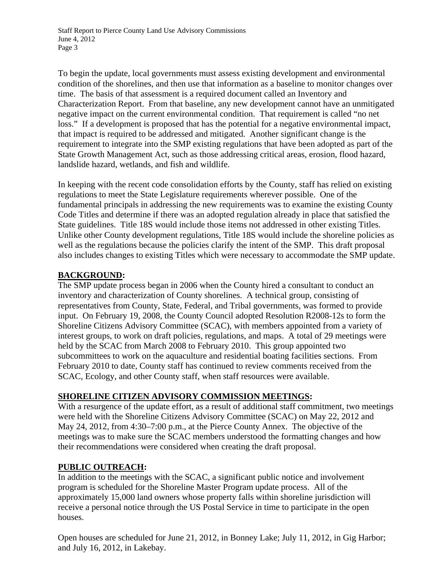To begin the update, local governments must assess existing development and environmental condition of the shorelines, and then use that information as a baseline to monitor changes over time. The basis of that assessment is a required document called an Inventory and Characterization Report. From that baseline, any new development cannot have an unmitigated negative impact on the current environmental condition. That requirement is called "no net loss." If a development is proposed that has the potential for a negative environmental impact, that impact is required to be addressed and mitigated. Another significant change is the requirement to integrate into the SMP existing regulations that have been adopted as part of the State Growth Management Act, such as those addressing critical areas, erosion, flood hazard, landslide hazard, wetlands, and fish and wildlife.

In keeping with the recent code consolidation efforts by the County, staff has relied on existing regulations to meet the State Legislature requirements wherever possible. One of the fundamental principals in addressing the new requirements was to examine the existing County Code Titles and determine if there was an adopted regulation already in place that satisfied the State guidelines. Title 18S would include those items not addressed in other existing Titles. Unlike other County development regulations, Title 18S would include the shoreline policies as well as the regulations because the policies clarify the intent of the SMP. This draft proposal also includes changes to existing Titles which were necessary to accommodate the SMP update.

## **BACKGROUND:**

The SMP update process began in 2006 when the County hired a consultant to conduct an inventory and characterization of County shorelines. A technical group, consisting of representatives from County, State, Federal, and Tribal governments, was formed to provide input. On February 19, 2008, the County Council adopted Resolution R2008-12s to form the Shoreline Citizens Advisory Committee (SCAC), with members appointed from a variety of interest groups, to work on draft policies, regulations, and maps. A total of 29 meetings were held by the SCAC from March 2008 to February 2010. This group appointed two subcommittees to work on the aquaculture and residential boating facilities sections. From February 2010 to date, County staff has continued to review comments received from the SCAC, Ecology, and other County staff, when staff resources were available.

# **SHORELINE CITIZEN ADVISORY COMMISSION MEETINGS:**

With a resurgence of the update effort, as a result of additional staff commitment, two meetings were held with the Shoreline Citizens Advisory Committee (SCAC) on May 22, 2012 and May 24, 2012, from 4:30–7:00 p.m., at the Pierce County Annex. The objective of the meetings was to make sure the SCAC members understood the formatting changes and how their recommendations were considered when creating the draft proposal.

# **PUBLIC OUTREACH:**

In addition to the meetings with the SCAC, a significant public notice and involvement program is scheduled for the Shoreline Master Program update process. All of the approximately 15,000 land owners whose property falls within shoreline jurisdiction will receive a personal notice through the US Postal Service in time to participate in the open houses.

Open houses are scheduled for June 21, 2012, in Bonney Lake; July 11, 2012, in Gig Harbor; and July 16, 2012, in Lakebay.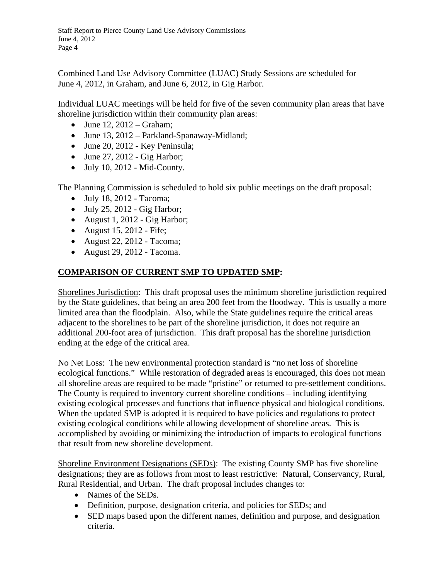Combined Land Use Advisory Committee (LUAC) Study Sessions are scheduled for June 4, 2012, in Graham, and June 6, 2012, in Gig Harbor.

Individual LUAC meetings will be held for five of the seven community plan areas that have shoreline jurisdiction within their community plan areas:

- $\bullet$  June 12, 2012 Graham;
- June 13, 2012 Parkland-Spanaway-Midland;
- June 20, 2012 Key Peninsula;
- $\bullet$  June 27, 2012 Gig Harbor;
- $\bullet$  July 10, 2012 Mid-County.

The Planning Commission is scheduled to hold six public meetings on the draft proposal:

- $\bullet$  July 18, 2012 Tacoma;
- $\bullet$  July 25, 2012 Gig Harbor;
- August 1, 2012 Gig Harbor;
- August 15, 2012 Fife;
- August 22, 2012 Tacoma;
- August 29, 2012 Tacoma.

## **COMPARISON OF CURRENT SMP TO UPDATED SMP:**

Shorelines Jurisdiction: This draft proposal uses the minimum shoreline jurisdiction required by the State guidelines, that being an area 200 feet from the floodway. This is usually a more limited area than the floodplain. Also, while the State guidelines require the critical areas adjacent to the shorelines to be part of the shoreline jurisdiction, it does not require an additional 200-foot area of jurisdiction. This draft proposal has the shoreline jurisdiction ending at the edge of the critical area.

No Net Loss:The new environmental protection standard is "no net loss of shoreline ecological functions." While restoration of degraded areas is encouraged, this does not mean all shoreline areas are required to be made "pristine" or returned to pre-settlement conditions. The County is required to inventory current shoreline conditions – including identifying existing ecological processes and functions that influence physical and biological conditions. When the updated SMP is adopted it is required to have policies and regulations to protect existing ecological conditions while allowing development of shoreline areas. This is accomplished by avoiding or minimizing the introduction of impacts to ecological functions that result from new shoreline development.

Shoreline Environment Designations (SEDs):The existing County SMP has five shoreline designations; they are as follows from most to least restrictive: Natural, Conservancy, Rural, Rural Residential, and Urban. The draft proposal includes changes to:

- Names of the SEDs.
- Definition, purpose, designation criteria, and policies for SEDs; and
- SED maps based upon the different names, definition and purpose, and designation criteria.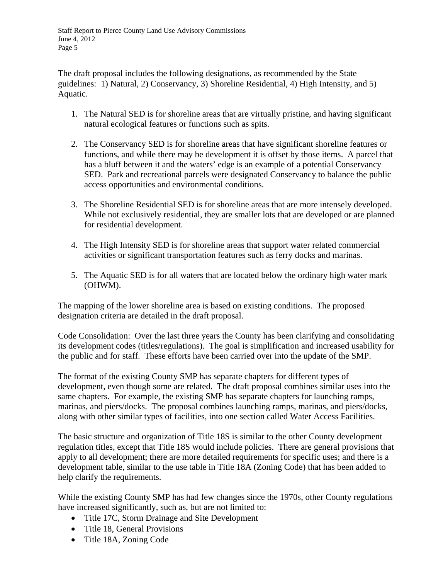The draft proposal includes the following designations, as recommended by the State guidelines: 1) Natural, 2) Conservancy, 3) Shoreline Residential, 4) High Intensity, and 5) Aquatic.

- 1. The Natural SED is for shoreline areas that are virtually pristine, and having significant natural ecological features or functions such as spits.
- 2. The Conservancy SED is for shoreline areas that have significant shoreline features or functions, and while there may be development it is offset by those items. A parcel that has a bluff between it and the waters' edge is an example of a potential Conservancy SED. Park and recreational parcels were designated Conservancy to balance the public access opportunities and environmental conditions.
- 3. The Shoreline Residential SED is for shoreline areas that are more intensely developed. While not exclusively residential, they are smaller lots that are developed or are planned for residential development.
- 4. The High Intensity SED is for shoreline areas that support water related commercial activities or significant transportation features such as ferry docks and marinas.
- 5. The Aquatic SED is for all waters that are located below the ordinary high water mark (OHWM).

The mapping of the lower shoreline area is based on existing conditions. The proposed designation criteria are detailed in the draft proposal.

Code Consolidation: Over the last three years the County has been clarifying and consolidating its development codes (titles/regulations). The goal is simplification and increased usability for the public and for staff. These efforts have been carried over into the update of the SMP.

The format of the existing County SMP has separate chapters for different types of development, even though some are related. The draft proposal combines similar uses into the same chapters. For example, the existing SMP has separate chapters for launching ramps, marinas, and piers/docks. The proposal combines launching ramps, marinas, and piers/docks, along with other similar types of facilities, into one section called Water Access Facilities.

The basic structure and organization of Title 18S is similar to the other County development regulation titles, except that Title 18S would include policies. There are general provisions that apply to all development; there are more detailed requirements for specific uses; and there is a development table, similar to the use table in Title 18A (Zoning Code) that has been added to help clarify the requirements.

While the existing County SMP has had few changes since the 1970s, other County regulations have increased significantly, such as, but are not limited to:

- Title 17C, Storm Drainage and Site Development
- Title 18, General Provisions
- Title 18A, Zoning Code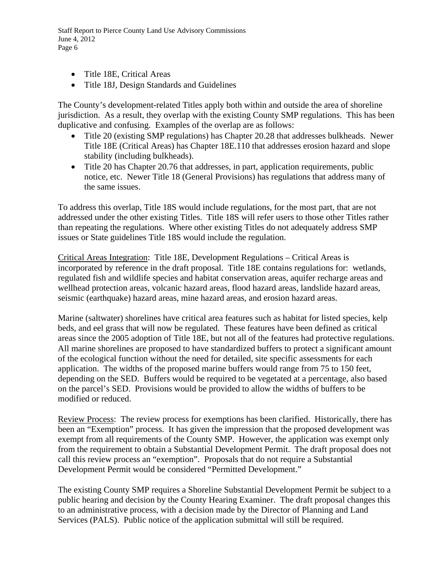- Title 18E, Critical Areas
- Title 18J, Design Standards and Guidelines

The County's development-related Titles apply both within and outside the area of shoreline jurisdiction. As a result, they overlap with the existing County SMP regulations. This has been duplicative and confusing. Examples of the overlap are as follows:

- Title 20 (existing SMP regulations) has Chapter 20.28 that addresses bulkheads. Newer Title 18E (Critical Areas) has Chapter 18E.110 that addresses erosion hazard and slope stability (including bulkheads).
- Title 20 has Chapter 20.76 that addresses, in part, application requirements, public notice, etc. Newer Title 18 (General Provisions) has regulations that address many of the same issues.

To address this overlap, Title 18S would include regulations, for the most part, that are not addressed under the other existing Titles. Title 18S will refer users to those other Titles rather than repeating the regulations. Where other existing Titles do not adequately address SMP issues or State guidelines Title 18S would include the regulation.

Critical Areas Integration: Title 18E, Development Regulations – Critical Areas is incorporated by reference in the draft proposal. Title 18E contains regulations for: wetlands, regulated fish and wildlife species and habitat conservation areas, aquifer recharge areas and wellhead protection areas, volcanic hazard areas, flood hazard areas, landslide hazard areas, seismic (earthquake) hazard areas, mine hazard areas, and erosion hazard areas.

Marine (saltwater) shorelines have critical area features such as habitat for listed species, kelp beds, and eel grass that will now be regulated. These features have been defined as critical areas since the 2005 adoption of Title 18E, but not all of the features had protective regulations. All marine shorelines are proposed to have standardized buffers to protect a significant amount of the ecological function without the need for detailed, site specific assessments for each application. The widths of the proposed marine buffers would range from 75 to 150 feet, depending on the SED. Buffers would be required to be vegetated at a percentage, also based on the parcel's SED. Provisions would be provided to allow the widths of buffers to be modified or reduced.

Review Process:The review process for exemptions has been clarified. Historically, there has been an "Exemption" process. It has given the impression that the proposed development was exempt from all requirements of the County SMP. However, the application was exempt only from the requirement to obtain a Substantial Development Permit. The draft proposal does not call this review process an "exemption". Proposals that do not require a Substantial Development Permit would be considered "Permitted Development."

The existing County SMP requires a Shoreline Substantial Development Permit be subject to a public hearing and decision by the County Hearing Examiner. The draft proposal changes this to an administrative process, with a decision made by the Director of Planning and Land Services (PALS). Public notice of the application submittal will still be required.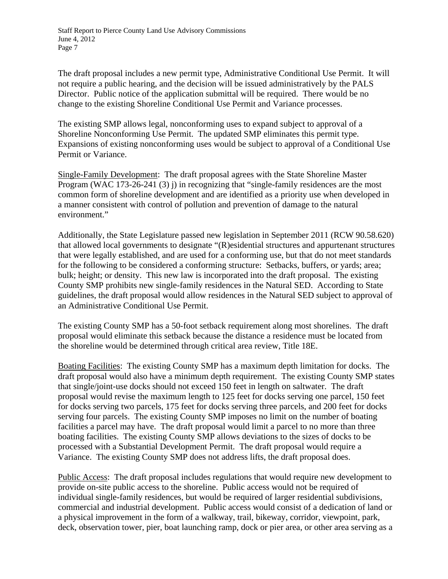The draft proposal includes a new permit type, Administrative Conditional Use Permit. It will not require a public hearing, and the decision will be issued administratively by the PALS Director. Public notice of the application submittal will be required. There would be no change to the existing Shoreline Conditional Use Permit and Variance processes.

The existing SMP allows legal, nonconforming uses to expand subject to approval of a Shoreline Nonconforming Use Permit. The updated SMP eliminates this permit type. Expansions of existing nonconforming uses would be subject to approval of a Conditional Use Permit or Variance.

Single-Family Development: The draft proposal agrees with the State Shoreline Master Program (WAC 173-26-241 (3) j) in recognizing that "single-family residences are the most common form of shoreline development and are identified as a priority use when developed in a manner consistent with control of pollution and prevention of damage to the natural environment."

Additionally, the State Legislature passed new legislation in September 2011 (RCW 90.58.620) that allowed local governments to designate "(R)esidential structures and appurtenant structures that were legally established, and are used for a conforming use, but that do not meet standards for the following to be considered a conforming structure: Setbacks, buffers, or yards; area; bulk; height; or density. This new law is incorporated into the draft proposal. The existing County SMP prohibits new single-family residences in the Natural SED. According to State guidelines, the draft proposal would allow residences in the Natural SED subject to approval of an Administrative Conditional Use Permit.

The existing County SMP has a 50-foot setback requirement along most shorelines. The draft proposal would eliminate this setback because the distance a residence must be located from the shoreline would be determined through critical area review, Title 18E.

Boating Facilities: The existing County SMP has a maximum depth limitation for docks. The draft proposal would also have a minimum depth requirement. The existing County SMP states that single/joint-use docks should not exceed 150 feet in length on saltwater. The draft proposal would revise the maximum length to 125 feet for docks serving one parcel, 150 feet for docks serving two parcels, 175 feet for docks serving three parcels, and 200 feet for docks serving four parcels. The existing County SMP imposes no limit on the number of boating facilities a parcel may have. The draft proposal would limit a parcel to no more than three boating facilities. The existing County SMP allows deviations to the sizes of docks to be processed with a Substantial Development Permit. The draft proposal would require a Variance. The existing County SMP does not address lifts, the draft proposal does.

Public Access:The draft proposal includes regulations that would require new development to provide on-site public access to the shoreline. Public access would not be required of individual single-family residences, but would be required of larger residential subdivisions, commercial and industrial development. Public access would consist of a dedication of land or a physical improvement in the form of a walkway, trail, bikeway, corridor, viewpoint, park, deck, observation tower, pier, boat launching ramp, dock or pier area, or other area serving as a